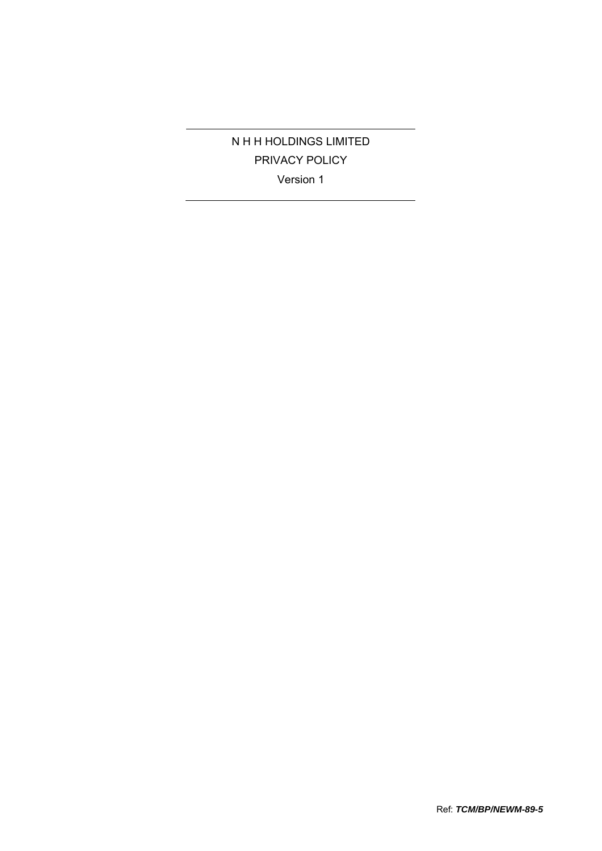N H H HOLDINGS LIMITED PRIVACY POLICY Version 1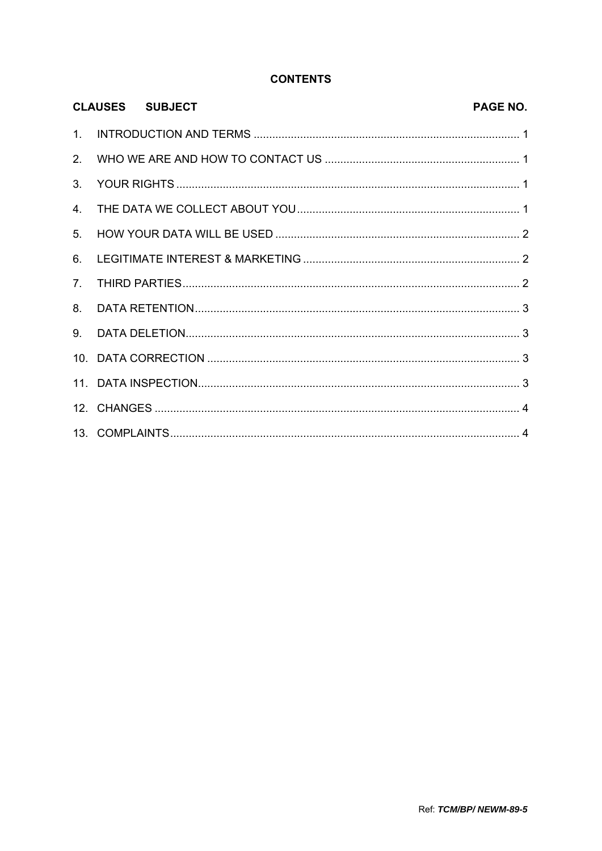#### **CONTENTS**

|                | <b>CLAUSES SUBJECT</b> | PAGE NO. |
|----------------|------------------------|----------|
|                |                        |          |
| 2.             |                        |          |
| 3.             |                        |          |
| 4.             |                        |          |
| 5 <sub>1</sub> |                        |          |
| 6.             |                        |          |
| 7 <sub>1</sub> |                        |          |
| 8.             |                        |          |
|                |                        |          |
|                |                        |          |
|                |                        |          |
|                |                        |          |
|                |                        |          |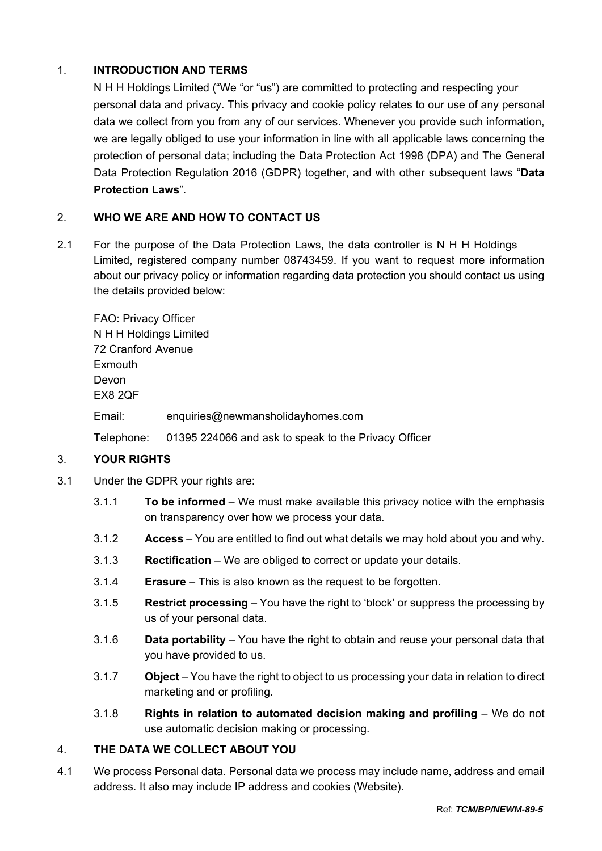## 1. **INTRODUCTION AND TERMS**

N H H Holdings Limited ("We "or "us") are committed to protecting and respecting your personal data and privacy. This privacy and cookie policy relates to our use of any personal data we collect from you from any of our services. Whenever you provide such information, we are legally obliged to use your information in line with all applicable laws concerning the protection of personal data; including the Data Protection Act 1998 (DPA) and The General Data Protection Regulation 2016 (GDPR) together, and with other subsequent laws "**Data Protection Laws**".

## 2. **WHO WE ARE AND HOW TO CONTACT US**

2.1 For the purpose of the Data Protection Laws, the data controller is N H H Holdings Limited, registered company number 08743459. If you want to request more information about our privacy policy or information regarding data protection you should contact us using the details provided below:

FAO: Privacy Officer N H H Holdings Limited 72 Cranford Avenue Exmouth Devon EX8 2QF Email: enquiries@newmansholidayhomes.com

## Telephone: 01395 224066 and ask to speak to the Privacy Officer

# 3. **YOUR RIGHTS**

- 3.1 Under the GDPR your rights are:
	- 3.1.1 **To be informed** We must make available this privacy notice with the emphasis on transparency over how we process your data.
	- 3.1.2 **Access** You are entitled to find out what details we may hold about you and why.
	- 3.1.3 **Rectification** We are obliged to correct or update your details.
	- 3.1.4 **Erasure** This is also known as the request to be forgotten.
	- 3.1.5 **Restrict processing** You have the right to 'block' or suppress the processing by us of your personal data.
	- 3.1.6 **Data portability** You have the right to obtain and reuse your personal data that you have provided to us.
	- 3.1.7 **Object** You have the right to object to us processing your data in relation to direct marketing and or profiling.
	- 3.1.8 **Rights in relation to automated decision making and profiling** We do not use automatic decision making or processing.

## 4. **THE DATA WE COLLECT ABOUT YOU**

4.1 We process Personal data. Personal data we process may include name, address and email address. It also may include IP address and cookies (Website).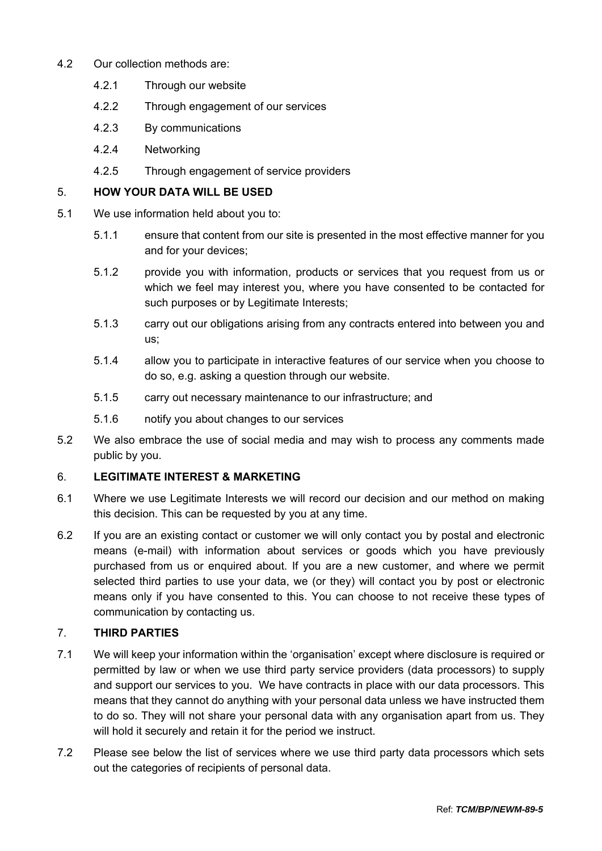- 4.2 Our collection methods are:
	- 4.2.1 Through our website
	- 4.2.2 Through engagement of our services
	- 4.2.3 By communications
	- 4.2.4 Networking
	- 4.2.5 Through engagement of service providers

#### 5. **HOW YOUR DATA WILL BE USED**

- 5.1 We use information held about you to:
	- 5.1.1 ensure that content from our site is presented in the most effective manner for you and for your devices;
	- 5.1.2 provide you with information, products or services that you request from us or which we feel may interest you, where you have consented to be contacted for such purposes or by Legitimate Interests;
	- 5.1.3 carry out our obligations arising from any contracts entered into between you and us;
	- 5.1.4 allow you to participate in interactive features of our service when you choose to do so, e.g. asking a question through our website.
	- 5.1.5 carry out necessary maintenance to our infrastructure; and
	- 5.1.6 notify you about changes to our services
- 5.2 We also embrace the use of social media and may wish to process any comments made public by you.

#### 6. **LEGITIMATE INTEREST & MARKETING**

- 6.1 Where we use Legitimate Interests we will record our decision and our method on making this decision. This can be requested by you at any time.
- 6.2 If you are an existing contact or customer we will only contact you by postal and electronic means (e-mail) with information about services or goods which you have previously purchased from us or enquired about. If you are a new customer, and where we permit selected third parties to use your data, we (or they) will contact you by post or electronic means only if you have consented to this. You can choose to not receive these types of communication by contacting us.

## 7. **THIRD PARTIES**

- 7.1 We will keep your information within the 'organisation' except where disclosure is required or permitted by law or when we use third party service providers (data processors) to supply and support our services to you. We have contracts in place with our data processors. This means that they cannot do anything with your personal data unless we have instructed them to do so. They will not share your personal data with any organisation apart from us. They will hold it securely and retain it for the period we instruct.
- 7.2 Please see below the list of services where we use third party data processors which sets out the categories of recipients of personal data.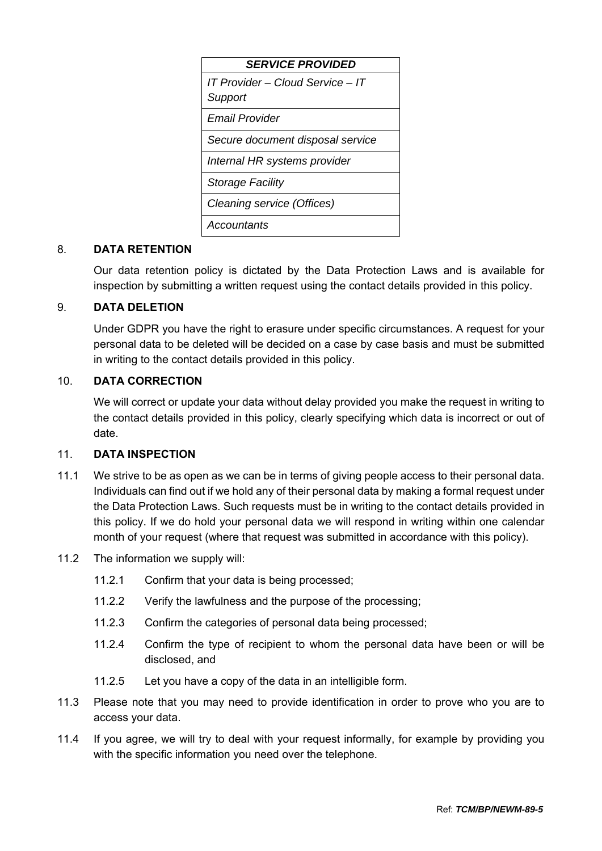| <b>SERVICE PROVIDED</b>                     |
|---------------------------------------------|
| IT Provider - Cloud Service - IT<br>Support |
| Email Provider                              |
|                                             |
| Secure document disposal service            |
| Internal HR systems provider                |
| <b>Storage Facility</b>                     |
| Cleaning service (Offices)                  |
| Accountants                                 |

### 8. **DATA RETENTION**

Our data retention policy is dictated by the Data Protection Laws and is available for inspection by submitting a written request using the contact details provided in this policy.

### 9. **DATA DELETION**

Under GDPR you have the right to erasure under specific circumstances. A request for your personal data to be deleted will be decided on a case by case basis and must be submitted in writing to the contact details provided in this policy.

## 10. **DATA CORRECTION**

We will correct or update your data without delay provided you make the request in writing to the contact details provided in this policy, clearly specifying which data is incorrect or out of date.

#### 11. **DATA INSPECTION**

- 11.1 We strive to be as open as we can be in terms of giving people access to their personal data. Individuals can find out if we hold any of their personal data by making a formal request under the Data Protection Laws. Such requests must be in writing to the contact details provided in this policy. If we do hold your personal data we will respond in writing within one calendar month of your request (where that request was submitted in accordance with this policy).
- 11.2 The information we supply will:
	- 11.2.1 Confirm that your data is being processed;
	- 11.2.2 Verify the lawfulness and the purpose of the processing;
	- 11.2.3 Confirm the categories of personal data being processed;
	- 11.2.4 Confirm the type of recipient to whom the personal data have been or will be disclosed, and
	- 11.2.5 Let you have a copy of the data in an intelligible form.
- 11.3 Please note that you may need to provide identification in order to prove who you are to access your data.
- 11.4 If you agree, we will try to deal with your request informally, for example by providing you with the specific information you need over the telephone.